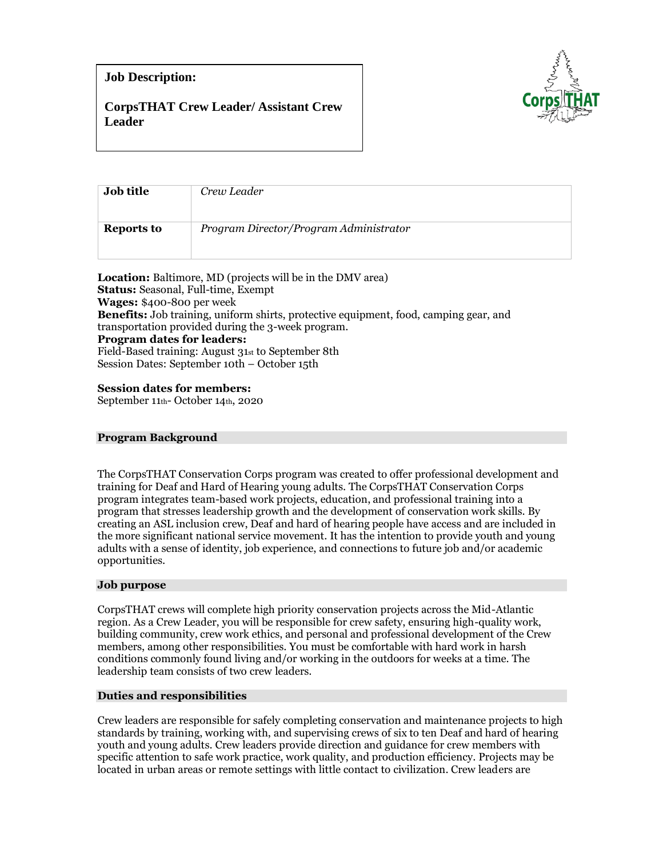# **Job Description:**

# **CorpsTHAT Crew Leader/ Assistant Crew Leader**



| <b>Job title</b>  | Crew Leader                            |
|-------------------|----------------------------------------|
| <b>Reports to</b> | Program Director/Program Administrator |

**Location:** Baltimore, MD (projects will be in the DMV area) **Status:** Seasonal, Full-time, Exempt **Wages:** \$400-800 per week **Benefits:** Job training, uniform shirts, protective equipment, food, camping gear, and transportation provided during the 3-week program. **Program dates for leaders:**  Field-Based training: August 31st to September 8th Session Dates: September 10th – October 15th

# **Session dates for members:**

September 11th- October 14th, 2020

### **Program Background**

The CorpsTHAT Conservation Corps program was created to offer professional development and training for Deaf and Hard of Hearing young adults. The CorpsTHAT Conservation Corps program integrates team-based work projects, education, and professional training into a program that stresses leadership growth and the development of conservation work skills. By creating an ASL inclusion crew, Deaf and hard of hearing people have access and are included in the more significant national service movement. It has the intention to provide youth and young adults with a sense of identity, job experience, and connections to future job and/or academic opportunities.

### **Job purpose**

CorpsTHAT crews will complete high priority conservation projects across the Mid-Atlantic region. As a Crew Leader, you will be responsible for crew safety, ensuring high-quality work, building community, crew work ethics, and personal and professional development of the Crew members, among other responsibilities. You must be comfortable with hard work in harsh conditions commonly found living and/or working in the outdoors for weeks at a time. The leadership team consists of two crew leaders.

# **Duties and responsibilities**

Crew leaders are responsible for safely completing conservation and maintenance projects to high standards by training, working with, and supervising crews of six to ten Deaf and hard of hearing youth and young adults. Crew leaders provide direction and guidance for crew members with specific attention to safe work practice, work quality, and production efficiency. Projects may be located in urban areas or remote settings with little contact to civilization. Crew leaders are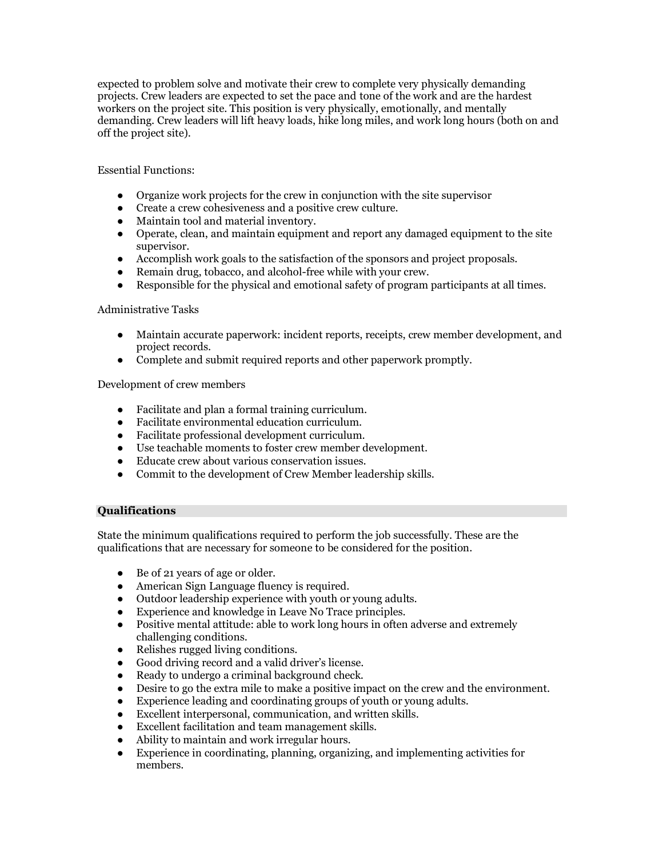expected to problem solve and motivate their crew to complete very physically demanding projects. Crew leaders are expected to set the pace and tone of the work and are the hardest workers on the project site. This position is very physically, emotionally, and mentally demanding. Crew leaders will lift heavy loads, hike long miles, and work long hours (both on and off the project site).

Essential Functions:

- Organize work projects for the crew in conjunction with the site supervisor
- Create a crew cohesiveness and a positive crew culture.
- Maintain tool and material inventory.
- Operate, clean, and maintain equipment and report any damaged equipment to the site supervisor.
- Accomplish work goals to the satisfaction of the sponsors and project proposals.
- Remain drug, tobacco, and alcohol-free while with your crew.
- Responsible for the physical and emotional safety of program participants at all times.

## Administrative Tasks

- Maintain accurate paperwork: incident reports, receipts, crew member development, and project records.
- Complete and submit required reports and other paperwork promptly.

Development of crew members

- Facilitate and plan a formal training curriculum.
- Facilitate environmental education curriculum.
- Facilitate professional development curriculum.
- Use teachable moments to foster crew member development.
- Educate crew about various conservation issues.
- Commit to the development of Crew Member leadership skills.

### **Qualifications**

State the minimum qualifications required to perform the job successfully. These are the qualifications that are necessary for someone to be considered for the position.

- Be of 21 years of age or older.
- American Sign Language fluency is required.
- Outdoor leadership experience with youth or young adults.
- Experience and knowledge in Leave No Trace principles.
- Positive mental attitude: able to work long hours in often adverse and extremely challenging conditions.
- Relishes rugged living conditions.
- Good driving record and a valid driver's license.
- Ready to undergo a criminal background check.
- Desire to go the extra mile to make a positive impact on the crew and the environment.
- Experience leading and coordinating groups of youth or young adults.
- Excellent interpersonal, communication, and written skills.
- Excellent facilitation and team management skills.
- Ability to maintain and work irregular hours.
- Experience in coordinating, planning, organizing, and implementing activities for members.